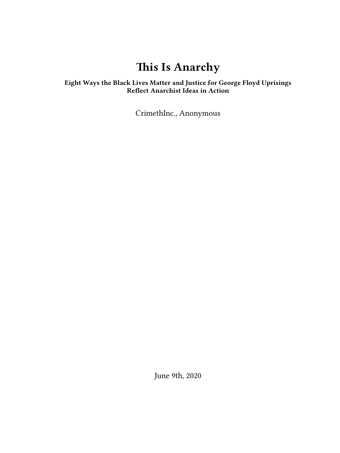# **This Is Anarchy**

## **Eight Ways the Black Lives Matter and Justice for George Floyd Uprisings Reflect Anarchist Ideas in Action**

CrimethInc., Anonymous

June 9th, 2020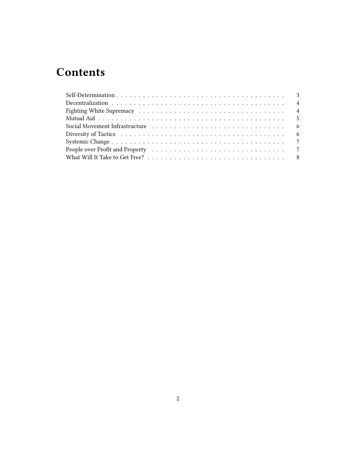## **Contents**

| People over Profit and Property (and some contained a series of the contact over $7$ |  |
|--------------------------------------------------------------------------------------|--|
|                                                                                      |  |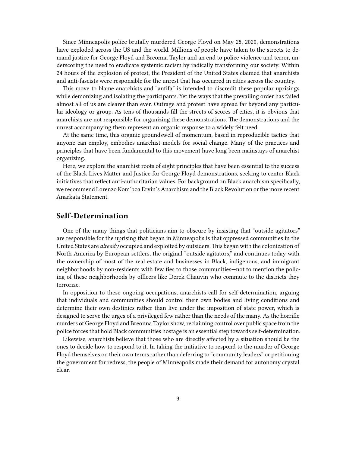Since Minneapolis police brutally murdered George Floyd on May 25, 2020, demonstrations have exploded across the US and the world. Millions of people have taken to the streets to demand justice for George Floyd and Breonna Taylor and an end to police violence and terror, underscoring the need to eradicate systemic racism by radically transforming our society. Within 24 hours of the explosion of protest, the President of the United States claimed that anarchists and anti-fascists were responsible for the unrest that has occurred in cities across the country.

This move to blame anarchists and "antifa" is intended to discredit these popular uprisings while demonizing and isolating the participants. Yet the ways that the prevailing order has failed almost all of us are clearer than ever. Outrage and protest have spread far beyond any particular ideology or group. As tens of thousands fill the streets of scores of cities, it is obvious that anarchists are not responsible for organizing these demonstrations. The demonstrations and the unrest accompanying them represent an organic response to a widely felt need.

At the same time, this organic groundswell of momentum, based in reproducible tactics that anyone can employ, embodies anarchist models for social change. Many of the practices and principles that have been fundamental to this movement have long been mainstays of anarchist organizing.

Here, we explore the anarchist roots of eight principles that have been essential to the success of the Black Lives Matter and Justice for George Floyd demonstrations, seeking to center Black initiatives that reflect anti-authoritarian values. For background on Black anarchism specifically, we recommend Lorenzo Kom'boa Ervin's Anarchism and the Black Revolution or the more recent Anarkata Statement.

#### <span id="page-2-0"></span>**Self-Determination**

One of the many things that politicians aim to obscure by insisting that "outside agitators" are responsible for the uprising that began in Minneapolis is that oppressed communities in the United States are *already* occupied and exploited by outsiders. This began with the colonization of North America by European settlers, the original "outside agitators," and continues today with the ownership of most of the real estate and businesses in Black, indigenous, and immigrant neighborhoods by non-residents with few ties to those communities—not to mention the policing of these neighborhoods by officers like Derek Chauvin who commute to the districts they terrorize.

In opposition to these ongoing occupations, anarchists call for self-determination, arguing that individuals and communities should control their own bodies and living conditions and determine their own destinies rather than live under the imposition of state power, which is designed to serve the urges of a privileged few rather than the needs of the many. As the horrific murders of George Floyd and Breonna Taylor show, reclaiming control over public space from the police forces that hold Black communities hostage is an essential step towards self-determination.

Likewise, anarchists believe that those who are directly affected by a situation should be the ones to decide how to respond to it. In taking the initiative to respond to the murder of George Floyd themselves on their own terms rather than deferring to "community leaders" or petitioning the government for redress, the people of Minneapolis made their demand for autonomy crystal clear.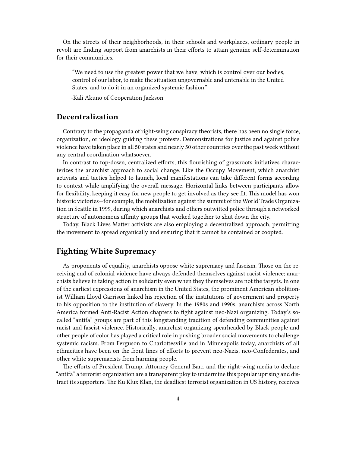On the streets of their neighborhoods, in their schools and workplaces, ordinary people in revolt are finding support from anarchists in their efforts to attain genuine self-determination for their communities.

"We need to use the greatest power that we have, which is control over our bodies, control of our labor, to make the situation ungovernable and untenable in the United States, and to do it in an organized systemic fashion."

-Kali Akuno of Cooperation Jackson

### <span id="page-3-0"></span>**Decentralization**

Contrary to the propaganda of right-wing conspiracy theorists, there has been no single force, organization, or ideology guiding these protests. Demonstrations for justice and against police violence have taken place in all 50 states and nearly 50 other countries over the past week without any central coordination whatsoever.

In contrast to top-down, centralized efforts, this flourishing of grassroots initiatives characterizes the anarchist approach to social change. Like the Occupy Movement, which anarchist activists and tactics helped to launch, local manifestations can take different forms according to context while amplifying the overall message. Horizontal links between participants allow for flexibility, keeping it easy for new people to get involved as they see fit. This model has won historic victories—for example, the mobilization against the summit of the World Trade Organization in Seattle in 1999, during which anarchists and others outwitted police through a networked structure of autonomous affinity groups that worked together to shut down the city.

Today, Black Lives Matter activists are also employing a decentralized approach, permitting the movement to spread organically and ensuring that it cannot be contained or coopted.

## <span id="page-3-1"></span>**Fighting White Supremacy**

As proponents of equality, anarchists oppose white supremacy and fascism. Those on the receiving end of colonial violence have always defended themselves against racist violence; anarchists believe in taking action in solidarity even when they themselves are not the targets. In one of the earliest expressions of anarchism in the United States, the prominent American abolitionist William Lloyd Garrison linked his rejection of the institutions of government and property to his opposition to the institution of slavery. In the 1980s and 1990s, anarchists across North America formed Anti-Racist Action chapters to fight against neo-Nazi organizing. Today's socalled "antifa" groups are part of this longstanding tradition of defending communities against racist and fascist violence. Historically, anarchist organizing spearheaded by Black people and other people of color has played a critical role in pushing broader social movements to challenge systemic racism. From Ferguson to Charlottesville and in Minneapolis today, anarchists of all ethnicities have been on the front lines of efforts to prevent neo-Nazis, neo-Confederates, and other white supremacists from harming people.

The efforts of President Trump, Attorney General Barr, and the right-wing media to declare "antifa" a terrorist organization are a transparent ploy to undermine this popular uprising and distract its supporters. The Ku Klux Klan, the deadliest terrorist organization in US history, receives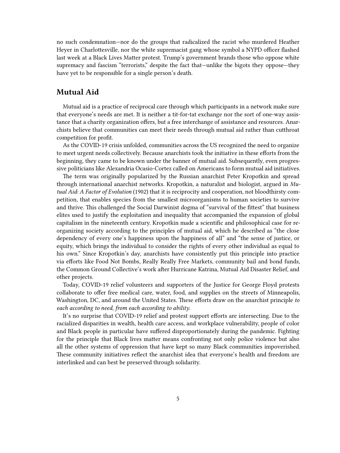no such condemnation—nor do the groups that radicalized the racist who murdered Heather Heyer in Charlottesville, nor the white supremacist gang whose symbol a NYPD officer flashed last week at a Black Lives Matter protest. Trump's government brands those who oppose white supremacy and fascism "terrorists," despite the fact that—unlike the bigots they oppose—they have yet to be responsible for a single person's death.

### <span id="page-4-0"></span>**Mutual Aid**

Mutual aid is a practice of reciprocal care through which participants in a network make sure that everyone's needs are met. It is neither a tit-for-tat exchange nor the sort of one-way assistance that a charity organization offers, but a free interchange of assistance and resources. Anarchists believe that communities can meet their needs through mutual aid rather than cutthroat competition for profit.

As the COVID-19 crisis unfolded, communities across the US recognized the need to organize to meet urgent needs collectively. Because anarchists took the initiative in these efforts from the beginning, they came to be known under the banner of mutual aid. Subsequently, even progressive politicians like Alexandria Ocasio-Cortez called on Americans to form mutual aid initiatives.

The term was originally popularized by the Russian anarchist Peter Kropotkin and spread through international anarchist networks. Kropotkin, a naturalist and biologist, argued in *Mutual Aid: A Factor of Evolution* (1902) that it is reciprocity and cooperation, not bloodthirsty competition, that enables species from the smallest microorganisms to human societies to survive and thrive. This challenged the Social Darwinist dogma of "survival of the fittest" that business elites used to justify the exploitation and inequality that accompanied the expansion of global capitalism in the nineteenth century. Kropotkin made a scientific and philosophical case for reorganizing society according to the principles of mutual aid, which he described as "the close dependency of every one's happiness upon the happiness of all" and "the sense of justice, or equity, which brings the individual to consider the rights of every other individual as equal to his own." Since Kropotkin's day, anarchists have consistently put this principle into practice via efforts like Food Not Bombs, Really Really Free Markets, community bail and bond funds, the Common Ground Collective's work after Hurricane Katrina, Mutual Aid Disaster Relief, and other projects.

Today, COVID-19 relief volunteers and supporters of the Justice for George Floyd protests collaborate to offer free medical care, water, food, and supplies on the streets of Minneapolis, Washington, DC, and around the United States. These efforts draw on the anarchist principle *to each according to need, from each according to ability.*

It's no surprise that COVID-19 relief and protest support efforts are intersecting. Due to the racialized disparities in wealth, health care access, and workplace vulnerability, people of color and Black people in particular have suffered disproportionately during the pandemic. Fighting for the principle that Black lives matter means confronting not only police violence but also all the other systems of oppression that have kept so many Black communities impoverished. These community initiatives reflect the anarchist idea that everyone's health and freedom are interlinked and can best be preserved through solidarity.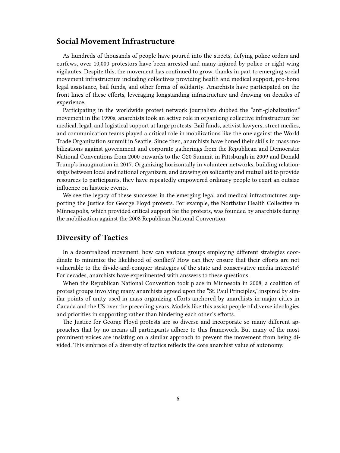#### <span id="page-5-0"></span>**Social Movement Infrastructure**

As hundreds of thousands of people have poured into the streets, defying police orders and curfews, over 10,000 protestors have been arrested and many injured by police or right-wing vigilantes. Despite this, the movement has continued to grow, thanks in part to emerging social movement infrastructure including collectives providing health and medical support, pro-bono legal assistance, bail funds, and other forms of solidarity. Anarchists have participated on the front lines of these efforts, leveraging longstanding infrastructure and drawing on decades of experience.

Participating in the worldwide protest network journalists dubbed the "anti-globalization" movement in the 1990s, anarchists took an active role in organizing collective infrastructure for medical, legal, and logistical support at large protests. Bail funds, activist lawyers, street medics, and communication teams played a critical role in mobilizations like the one against the World Trade Organization summit in Seattle. Since then, anarchists have honed their skills in mass mobilizations against government and corporate gatherings from the Republican and Democratic National Conventions from 2000 onwards to the G20 Summit in Pittsburgh in 2009 and Donald Trump's inauguration in 2017. Organizing horizontally in volunteer networks, building relationships between local and national organizers, and drawing on solidarity and mutual aid to provide resources to participants, they have repeatedly empowered ordinary people to exert an outsize influence on historic events.

We see the legacy of these successes in the emerging legal and medical infrastructures supporting the Justice for George Floyd protests. For example, the Northstar Health Collective in Minneapolis, which provided critical support for the protests, was founded by anarchists during the mobilization against the 2008 Republican National Convention.

#### <span id="page-5-1"></span>**Diversity of Tactics**

In a decentralized movement, how can various groups employing different strategies coordinate to minimize the likelihood of conflict? How can they ensure that their efforts are not vulnerable to the divide-and-conquer strategies of the state and conservative media interests? For decades, anarchists have experimented with answers to these questions.

When the Republican National Convention took place in Minnesota in 2008, a coalition of protest groups involving many anarchists agreed upon the "St. Paul Principles," inspired by similar points of unity used in mass organizing efforts anchored by anarchists in major cities in Canada and the US over the preceding years. Models like this assist people of diverse ideologies and priorities in supporting rather than hindering each other's efforts.

The Justice for George Floyd protests are so diverse and incorporate so many different approaches that by no means all participants adhere to this framework. But many of the most prominent voices are insisting on a similar approach to prevent the movement from being divided. This embrace of a diversity of tactics reflects the core anarchist value of autonomy.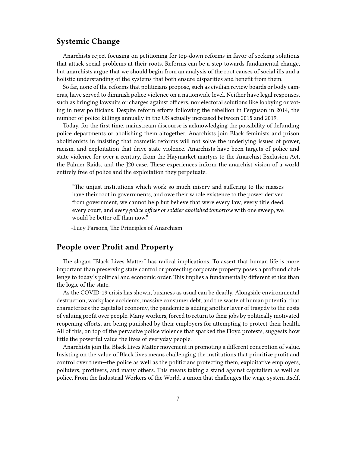### <span id="page-6-0"></span>**Systemic Change**

Anarchists reject focusing on petitioning for top-down reforms in favor of seeking solutions that attack social problems at their roots. Reforms can be a step towards fundamental change, but anarchists argue that we should begin from an analysis of the root causes of social ills and a holistic understanding of the systems that both ensure disparities and benefit from them.

So far, none of the reforms that politicians propose, such as civilian review boards or body cameras, have served to diminish police violence on a nationwide level. Neither have legal responses, such as bringing lawsuits or charges against officers, nor electoral solutions like lobbying or voting in new politicians. Despite reform efforts following the rebellion in Ferguson in 2014, the number of police killings annually in the US actually increased between 2015 and 2019.

Today, for the first time, mainstream discourse is acknowledging the possibility of defunding police departments or abolishing them altogether. Anarchists join Black feminists and prison abolitionists in insisting that cosmetic reforms will not solve the underlying issues of power, racism, and exploitation that drive state violence. Anarchists have been targets of police and state violence for over a century, from the Haymarket martyrs to the Anarchist Exclusion Act, the Palmer Raids, and the J20 case. These experiences inform the anarchist vision of a world entirely free of police and the exploitation they perpetuate.

"The unjust institutions which work so much misery and suffering to the masses have their root in governments, and owe their whole existence to the power derived from government, we cannot help but believe that were every law, every title deed, every court, and *every police officer or soldier abolished tomorrow* with one sweep, we would be better off than now."

-Lucy Parsons, The Principles of Anarchism

#### <span id="page-6-1"></span>**People over Profit and Property**

The slogan "Black Lives Matter" has radical implications. To assert that human life is more important than preserving state control or protecting corporate property poses a profound challenge to today's political and economic order. This implies a fundamentally different ethics than the logic of the state.

As the COVID-19 crisis has shown, business as usual can be deadly. Alongside environmental destruction, workplace accidents, massive consumer debt, and the waste of human potential that characterizes the capitalist economy, the pandemic is adding another layer of tragedy to the costs of valuing profit over people. Many workers, forced to return to their jobs by politically motivated reopening efforts, are being punished by their employers for attempting to protect their health. All of this, on top of the pervasive police violence that sparked the Floyd protests, suggests how little the powerful value the lives of everyday people.

Anarchists join the Black Lives Matter movement in promoting a different conception of value. Insisting on the value of Black lives means challenging the institutions that prioritize profit and control over them—the police as well as the politicians protecting them, exploitative employers, polluters, profiteers, and many others. This means taking a stand against capitalism as well as police. From the Industrial Workers of the World, a union that challenges the wage system itself,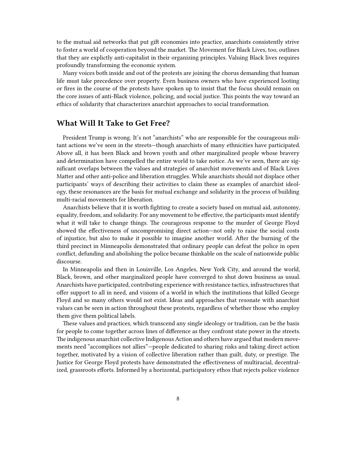to the mutual aid networks that put gift economies into practice, anarchists consistently strive to foster a world of cooperation beyond the market. The Movement for Black Lives, too, outlines that they are explictly anti-capitalist in their organizing principles. Valuing Black lives requires profoundly transforming the economic system.

Many voices both inside and out of the protests are joining the chorus demanding that human life must take precedence over property. Even business owners who have experienced looting or fires in the course of the protests have spoken up to insist that the focus should remain on the core issues of anti-Black violence, policing, and social justice. This points the way toward an ethics of solidarity that characterizes anarchist approaches to social transformation.

#### <span id="page-7-0"></span>**What Will It Take to Get Free?**

President Trump is wrong. It's not "anarchists" who are responsible for the courageous militant actions we've seen in the streets—though anarchists of many ethnicities have participated. Above all, it has been Black and brown youth and other marginalized people whose bravery and determination have compelled the entire world to take notice. As we've seen, there are significant overlaps between the values and strategies of anarchist movements and of Black Lives Matter and other anti-police and liberation struggles. While anarchists should not displace other participants' ways of describing their activities to claim these as examples of anarchist ideology, these resonances are the basis for mutual exchange and solidarity in the process of building multi-racial movements for liberation.

Anarchists believe that it is worth fighting to create a society based on mutual aid, autonomy, equality, freedom, and solidarity. For any movement to be effective, the participants must identify what it will take to change things. The courageous response to the murder of George Floyd showed the effectiveness of uncompromising direct action—not only to raise the social costs of injustice, but also to make it possible to imagine another world. After the burning of the third precinct in Minneapolis demonstrated that ordinary people can defeat the police in open conflict, defunding and abolishing the police became thinkable on the scale of nationwide public discourse.

In Minneapolis and then in Louisville, Los Angeles, New York City, and around the world, Black, brown, and other marginalized people have converged to shut down business as usual. Anarchists have participated, contributing experience with resistance tactics, infrastructures that offer support to all in need, and visions of a world in which the institutions that killed George Floyd and so many others would not exist. Ideas and approaches that resonate with anarchist values can be seen in action throughout these protests, regardless of whether those who employ them give them political labels.

These values and practices, which transcend any single ideology or tradition, can be the basis for people to come together across lines of difference as they confront state power in the streets. The indigenous anarchist collective Indigenous Action and others have argued that modern movements need "accomplices not allies"—people dedicated to sharing risks and taking direct action together, motivated by a vision of collective liberation rather than guilt, duty, or prestige. The Justice for George Floyd protests have demonstrated the effectiveness of multiracial, decentralized, grassroots efforts. Informed by a horizontal, participatory ethos that rejects police violence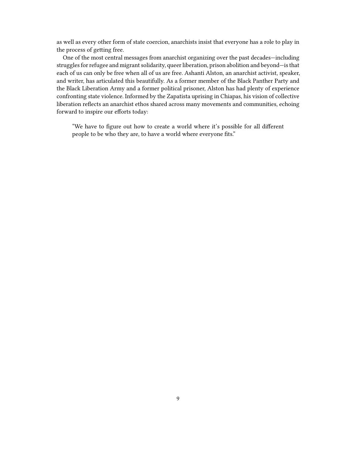as well as every other form of state coercion, anarchists insist that everyone has a role to play in the process of getting free.

One of the most central messages from anarchist organizing over the past decades—including struggles for refugee and migrant solidarity, queer liberation, prison abolition and beyond—is that each of us can only be free when all of us are free. Ashanti Alston, an anarchist activist, speaker, and writer, has articulated this beautifully. As a former member of the Black Panther Party and the Black Liberation Army and a former political prisoner, Alston has had plenty of experience confronting state violence. Informed by the Zapatista uprising in Chiapas, his vision of collective liberation reflects an anarchist ethos shared across many movements and communities, echoing forward to inspire our efforts today:

"We have to figure out how to create a world where it's possible for all different people to be who they are, to have a world where everyone fits."